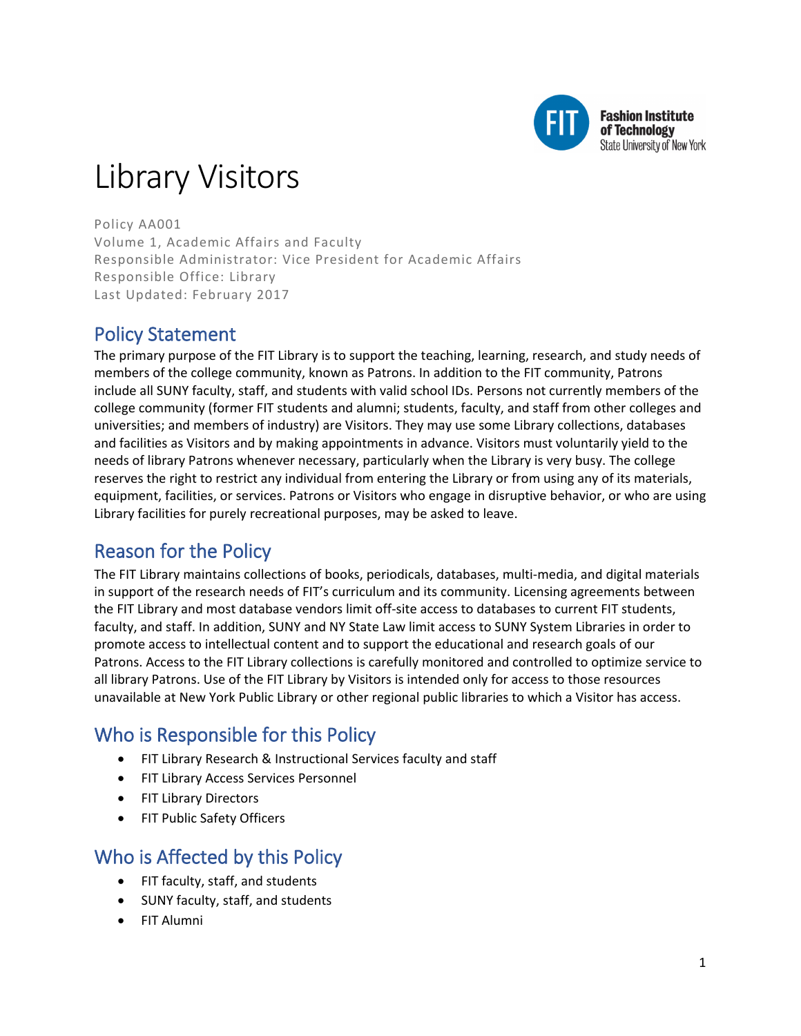

**Fashion Institute** of Technology **State University of New York** 

# Library Visitors

Policy AA001 Volume 1, Academic Affairs and Faculty Responsible Administrator: Vice President for Academic Affairs Responsible Office: Library Last Updated: February 2017

# Policy Statement

The primary purpose of the FIT Library is to support the teaching, learning, research, and study needs of members of the college community, known as Patrons. In addition to the FIT community, Patrons include all SUNY faculty, staff, and students with valid school IDs. Persons not currently members of the college community (former FIT students and alumni; students, faculty, and staff from other colleges and universities; and members of industry) are Visitors. They may use some Library collections, databases and facilities as Visitors and by making appointments in advance. Visitors must voluntarily yield to the needs of library Patrons whenever necessary, particularly when the Library is very busy. The college reserves the right to restrict any individual from entering the Library or from using any of its materials, equipment, facilities, or services. Patrons or Visitors who engage in disruptive behavior, or who are using Library facilities for purely recreational purposes, may be asked to leave.

# Reason for the Policy

The FIT Library maintains collections of books, periodicals, databases, multi-media, and digital materials in support of the research needs of FIT's curriculum and its community. Licensing agreements between the FIT Library and most database vendors limit off-site access to databases to current FIT students, faculty, and staff. In addition, SUNY and NY State Law limit access to SUNY System Libraries in order to promote access to intellectual content and to support the educational and research goals of our Patrons. Access to the FIT Library collections is carefully monitored and controlled to optimize service to all library Patrons. Use of the FIT Library by Visitors is intended only for access to those resources unavailable at New York Public Library or other regional public libraries to which a Visitor has access.

# Who is Responsible for this Policy

- FIT Library Research & Instructional Services faculty and staff
- FIT Library Access Services Personnel
- FIT Library Directors
- FIT Public Safety Officers

## Who is Affected by this Policy

- FIT faculty, staff, and students
- SUNY faculty, staff, and students
- FIT Alumni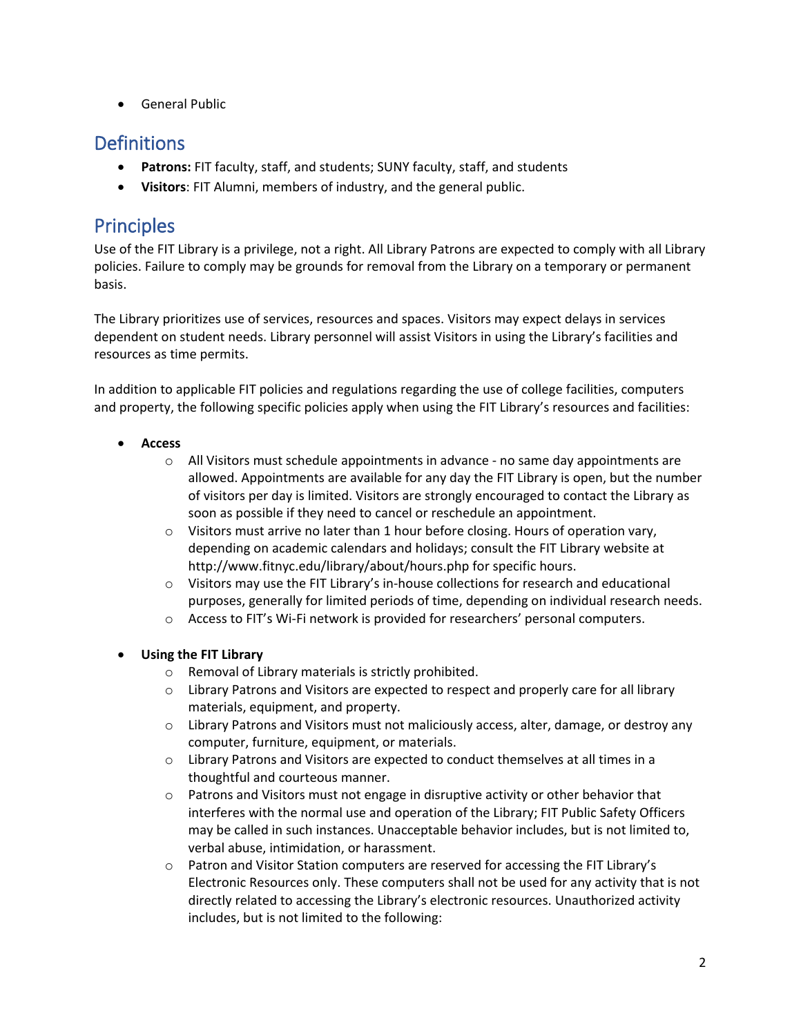• General Public

## **Definitions**

- **Patrons:** FIT faculty, staff, and students; SUNY faculty, staff, and students
- **Visitors**: FIT Alumni, members of industry, and the general public.

# Principles

Use of the FIT Library is a privilege, not a right. All Library Patrons are expected to comply with all Library policies. Failure to comply may be grounds for removal from the Library on a temporary or permanent basis.

The Library prioritizes use of services, resources and spaces. Visitors may expect delays in services dependent on student needs. Library personnel will assist Visitors in using the Library's facilities and resources as time permits.

In addition to applicable FIT policies and regulations regarding the use of college facilities, computers and property, the following specific policies apply when using the FIT Library's resources and facilities:

- **Access**
	- $\circ$  All Visitors must schedule appointments in advance no same day appointments are allowed. Appointments are available for any day the FIT Library is open, but the number of visitors per day is limited. Visitors are strongly encouraged to contact the Library as soon as possible if they need to cancel or reschedule an appointment.
	- $\circ$  Visitors must arrive no later than 1 hour before closing. Hours of operation vary, depending on academic calendars and holidays; consult the FIT Library website at http://www.fitnyc.edu/library/about/hours.php for specific hours.
	- $\circ$  Visitors may use the FIT Library's in-house collections for research and educational purposes, generally for limited periods of time, depending on individual research needs.
	- o Access to FIT's Wi-Fi network is provided for researchers' personal computers.

#### • **Using the FIT Library**

- o Removal of Library materials is strictly prohibited.
- o Library Patrons and Visitors are expected to respect and properly care for all library materials, equipment, and property.
- $\circ$  Library Patrons and Visitors must not maliciously access, alter, damage, or destroy any computer, furniture, equipment, or materials.
- o Library Patrons and Visitors are expected to conduct themselves at all times in a thoughtful and courteous manner.
- o Patrons and Visitors must not engage in disruptive activity or other behavior that interferes with the normal use and operation of the Library; FIT Public Safety Officers may be called in such instances. Unacceptable behavior includes, but is not limited to, verbal abuse, intimidation, or harassment.
- o Patron and Visitor Station computers are reserved for accessing the FIT Library's Electronic Resources only. These computers shall not be used for any activity that is not directly related to accessing the Library's electronic resources. Unauthorized activity includes, but is not limited to the following: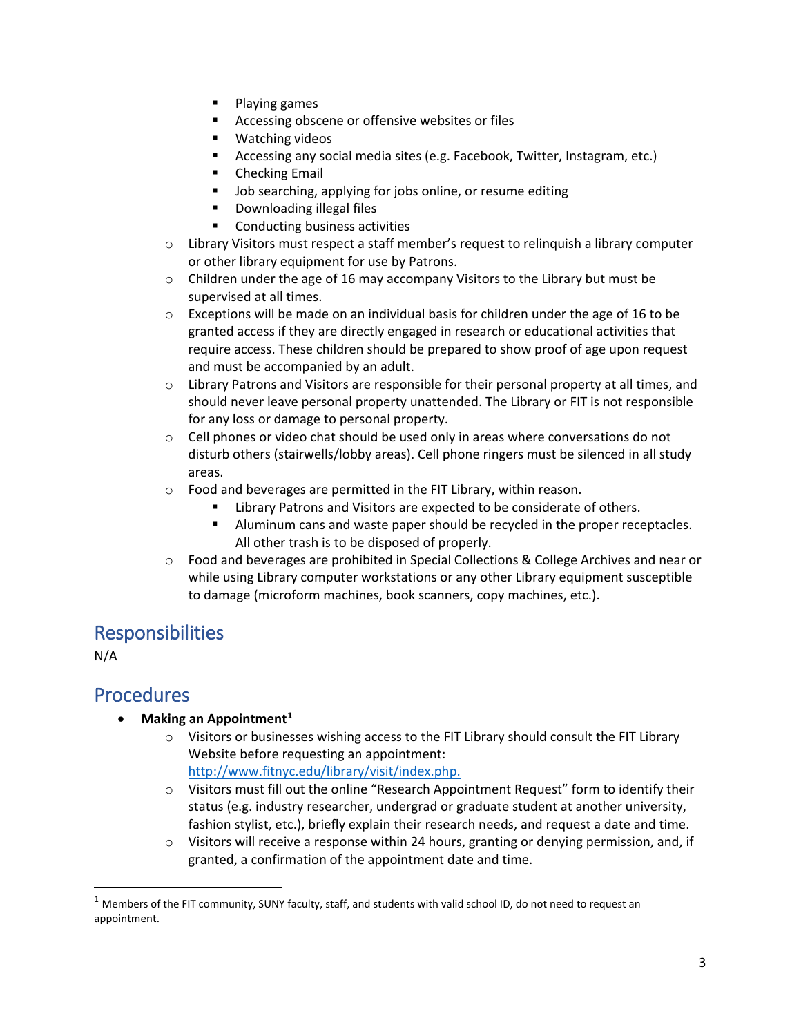- $\blacksquare$  Playing games
- **Accessing obscene or offensive websites or files**
- Watching videos
- Accessing any social media sites (e.g. Facebook, Twitter, Instagram, etc.)
- **EXECUTE:** Checking Email
- **Job searching, applying for jobs online, or resume editing**
- Downloading illegal files
- Conducting business activities
- o Library Visitors must respect a staff member's request to relinquish a library computer or other library equipment for use by Patrons.
- $\circ$  Children under the age of 16 may accompany Visitors to the Library but must be supervised at all times.
- $\circ$  Exceptions will be made on an individual basis for children under the age of 16 to be granted access if they are directly engaged in research or educational activities that require access. These children should be prepared to show proof of age upon request and must be accompanied by an adult.
- o Library Patrons and Visitors are responsible for their personal property at all times, and should never leave personal property unattended. The Library or FIT is not responsible for any loss or damage to personal property.
- $\circ$  Cell phones or video chat should be used only in areas where conversations do not disturb others (stairwells/lobby areas). Cell phone ringers must be silenced in all study areas.
- o Food and beverages are permitted in the FIT Library, within reason.
	- Library Patrons and Visitors are expected to be considerate of others.
	- Aluminum cans and waste paper should be recycled in the proper receptacles. All other trash is to be disposed of properly.
- o Food and beverages are prohibited in Special Collections & College Archives and near or while using Library computer workstations or any other Library equipment susceptible to damage (microform machines, book scanners, copy machines, etc.).

## Responsibilities

N/A

### Procedures

- **Making an Appointment[1](#page-2-0)**
	- o Visitors or businesses wishing access to the FIT Library should consult the FIT Library Website before requesting an appointment:

[http://www.fitnyc.edu/library/visit/index.php.](https://www.fitnyc.edu/academics/library/visit/index.php)

- o Visitors must fill out the online "Research Appointment Request" form to identify their status (e.g. industry researcher, undergrad or graduate student at another university, fashion stylist, etc.), briefly explain their research needs, and request a date and time.
- $\circ$  Visitors will receive a response within 24 hours, granting or denying permission, and, if granted, a confirmation of the appointment date and time.

<span id="page-2-0"></span> $1$  Members of the FIT community, SUNY faculty, staff, and students with valid school ID, do not need to request an appointment.